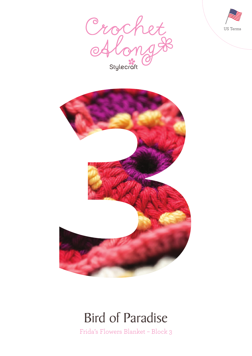





## Bird of Paradise

Frida's Flowers Blanket – Block 3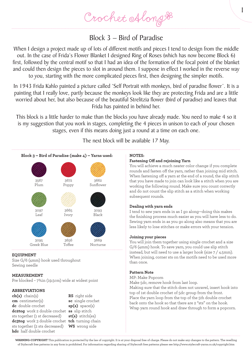### Block 3 – Bird of Paradise

When I design a project made up of lots of different motifs and pieces I tend to design from the middle out. In the case of Frida's Flower Blanket I designed Ring of Roses (which has now become Block 6) first, followed by the central motif so that I had an idea of the formation of the focal point of the blanket and could then design the pieces to slot in around them. I suppose in effect I worked in the reverse way to you, starting with the more complicated pieces first, then designing the simpler motifs.

In 1943 Frida Kahlo painted a picture called 'Self Portrait with monkeys, bird of paradise flower'. It is a painting that I really love, partly because the monkeys look like they are protecting Frida and are a little worried about her, but also because of the beautiful Strelitzia flower (bird of paradise) and leaves that Frida has painted in behind her.

This block is a little harder to make than the blocks you have already made. You need to make 4 so it is my suggestion that you work in stages, completing the 4 pieces in unison to each of your chosen stages, even if this means doing just a round at a time on each one.

The next block will be available 17 May.



### **EQUIPMENT**

Size G/6 (4mm) hook used throughout Sewing needle

### **MEASUREMENT**

Pre blocked – 7¾in (19.5cm) wide at widest point

### **ABBREVIATIONS**

**ch(s)** chain(s) **cm** centimeter(s) **dc** double crochet **dc2tog** work 2 double crochet **ss** slip stitch sts together (1 st decreased) **dc3tog** work 3 double crochet **tch** turning chain sts together (2 sts decreased) **WS** wrong side **hdc** half double crochet

**RS** right side **sc** single crochet **sp(s)** space(s) **st(s)** stitch(es)

#### **NOTES:**

#### **Fastening Off and rejoining Yarn**

You will achieve a much neater color change if you complete rounds and fasten off the yarn, rather than joining mid stitch. When fastening off a yarn at the end of a round, the slip stitch that you have made to join can look like a stitch when you are working the following round. Make sure you count correctly and do not count the slip stitch as a stitch when working subsequent rounds.

1

#### **Dealing with yarn ends**

I tend to sew yarn ends in as I go along—doing this makes the finishing process much easier as you will have less to do. Sewing yarn ends in as you go along also means that you are less likely to lose stitches or make errors with your tension.

#### **Joining your pieces**

You will join them together using single crochet and a size G/6 (4mm) hook. To save yarn, you could use slip stitch instead, but will need to use a larger hook (size 7 / 4.5mm). When joining, corner sts on the motifs need to be used more than once.

#### **Pattern Note**

MP: Make Popcorn

Make 5dc, remove hook from last loop.

Making sure that the stitch does not unravel, insert hook into top of 1st double crochet of 5dc group from the front. Place the yarn loop from the top of the 5th double crochet back onto the hook so that there are 2 "sts" on the hook. Wrap yarn round hook and draw through to form a popcorn.

**WARNING-COPYRIGHT** This publication is protected by the law of copyright. It is at your disposal free of charge. Please do not make any changes to the pattern. The reselling of Stylecraft free patterns in any form is prohibited. For information regarding sharing of Stylecraft free patterns please see http://www.stylecraft-yarns.co.uk/copyright.htm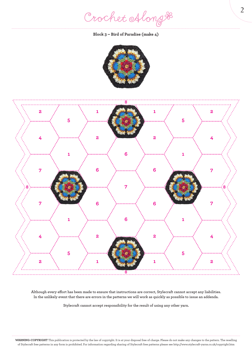Crochet Along #

**Block 3 – Bird of Paradise (make 4)**





**Although every effort has been made to ensure that instructions are correct, Stylecraft cannot accept any liabilities. In the unlikely event that there are errors in the patterns we will work as quickly as possible to issue an addenda.**

**Stylecraft cannot accept responsibility for the result of using any other yarn.**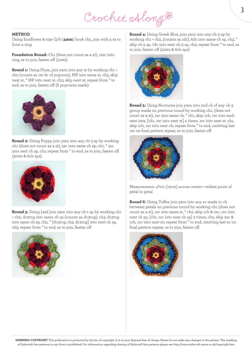# Crochet Along &

#### **METHOD**

Using Sunflower & size G/6 (**4mm**) hook ch5, join with a ss to form a ring

**Foundation Round:** Ch1 (does not count as a st), 12sc into ring, ss to join, fasten off (12sts)

**Round 1:** Using Plum, join yarn into any st by working ch1 + ch2 (counts as 1st dc of popcorn), MP into same st, ch3, skip next st, \* MP into next st, ch3, skip next st; repeat from \* to end, ss to join, fasten off (6 popcorns made)



**Round 2:** Using Poppy join yarn into any ch-3 sp by working ch1 (does not count as a st), 5sc into same ch sp, ch1, \* 5sc into next ch sp, ch1; repeat from \* to end, ss to join, fasten off (30sts & 6ch sps)



**Round 3:** Using Leaf join yarn into any ch-1 sp by working ch1 + ch2, dc2tog into same ch sp (counts as dc3tog), ch3, dc3tog into same ch sp, ch5, \* [dc3tog, ch3, dc3tog] into next ch sp, ch5; repeat from \* to end, ss to join, fasten off



**Round 4:** Using Greek Blue, join yarn into any ch-3 sp by working ch1 + ch2, (counts as 1dc), 6dc into same ch sp, ch3, \* skip ch-5 sp, 7dc into next ch-3 sp, ch3; repeat from \* to end, ss to join, fasten off (42sts & 6ch sps)



**Round 5:** Using Nocturne join yarn into 2nd ch of any ch-3 group made on previous round by working ch1, (does not count as a st), 1sc into same ch, \* ch1, skip 1ch, 1sc into each next 2sts, [ch1, 1sc into next st] 4 times, 1sc into next st, ch1, skip 1ch, 1sc into next ch; repeat from \* to end, omitting last 1sc on final pattern repeat, ss to join, fasten off



Measurement: 4¾in (12cm) across center—widest point of petal to petal

**Round 6:** Using Toffee join yarn into any sc made in ch between petals on previous round by working ch1 (does not count as a st), 1sc into same st, \* ch2, skip 1ch & 2sc, 1sc into next ch sp, [ch1, 1sc into next ch sp] 3 times, ch2, skip 2sc & 1ch, 1sc into next sc; repeat from \* to end, omitting last sc on final pattern repeat, ss to join, fasten off

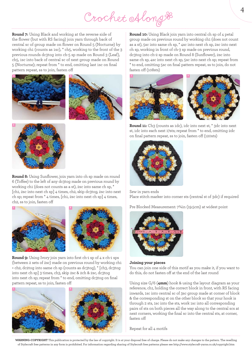# Crochet Along #

**Round 7:** Using Black and working at the reverse side of the flower (but with RS facing) join yarn through back of central sc of group made on flower on Round 5 (Nocturne) by working ch1 (counts as 1sc), \* ch5, working to the front of the 3 previous rounds dc3tog into ch-5 sp made on Round 3 (Leaf), ch5, 1sc into back of central sc of next group made on Round 5 (Nocturne); repeat from \* to end, omitting last 1sc on final pattern repeat, ss to join, fasten off









**Round 11:** Ch<sub>3</sub> (counts as 1dc), 1dc into next st,  $*$  3dc into next st, 1dc into each next 17sts; repeat from \* to end, omitting 2dc on final pattern repeat, ss to join, fasten off (120sts)



Sew in yarn ends Place stitch marker into corner sts (central st of 3dc) if required

Pre Blocked Measurement: 7¾in (19.5cm) at widest point



#### **Joining your pieces**

You can join one side of this motif as you make it, if you want to do this, do not fasten off at the end of the last round

Using size G/6 (**4mm**) hook & using the layout diagram as your reference, ch1, holding the correct block in front, with RS facing inwards, 1sc into central sc of 3sc group made at corner of block & the corresponding st on the other block so that your hook is through 2 sts, 1sc into the sts, work 1sc into all corresponding pairs of sts on both pieces all the way along to the central scs at next corners, working the final sc into the central sts, at corner, fasten off

Repeat for all 4 motifs



**Round 8:** Using Sunflower, join yarn into ch sp made on round 6 (Toffee) to the left of any dc3tog made on previous round by working ch1 (does not counts as a st), 2sc into same ch sp, \* [ch1, 2sc into next ch sp] 4 times, ch2, skip dc3tog, 2sc into next ch sp; repeat from \* 4 times, [ch1, 2sc into next ch sp] 4 times, ch2, ss to join, fasten off





**Round 9:** Using Ivory join yarn into first ch-1 sp of 4 x ch-1 sps (between 2 sets of 2sc) made on previous round by working ch1 + ch2, dc2tog into same ch sp (counts as dc3tog), \* [ch3, dc3tog into next ch sp] 3 times, ch3, skip 2sc & 2ch & 2sc, dc3tog into next ch sp; repeat from \* to end, omitting dc3tog on final pattern repeat, ss to join, fasten off



**WARNING-COPYRIGHT** This publication is protected by the law of copyright. It is at your disposal free of charge. Please do not make any changes to the pattern. The reselling of Stylecraft free patterns in any form is prohibited. For information regarding sharing of Stylecraft free patterns please see http://www.stylecraft-yarns.co.uk/copyright.htm